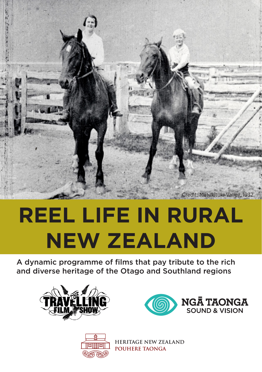

# **REEL LIFE IN RURAL NEW ZEALAND**

A dynamic programme of films that pay tribute to the rich and diverse heritage of the Otago and Southland regions







**HERITAGE NEW ZEALAND** POUHERE TAONGA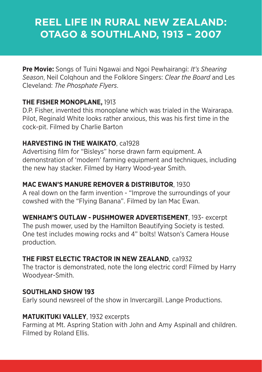# **REEL LIFE IN RURAL NEW ZEALAND: OTAGO & SOUTHLAND, 1913 – 2007**

**Pre Movie:** Songs of Tuini Ngawai and Ngoi Pewhairangi: *It's Shearing Season*, Neil Colqhoun and the Folklore Singers: *Clear the Board* and Les Cleveland: *The Phosphate Flyers*.

#### **THE FISHER MONOPLANE,** 1913

D.P. Fisher, invented this monoplane which was trialed in the Wairarapa. Pilot, Reginald White looks rather anxious, this was his first time in the cock-pit. Filmed by Charlie Barton

#### **HARVESTING IN THE WAIKATO**, ca1928

Advertising film for "Bisleys" horse drawn farm equipment. A demonstration of 'modern' farming equipment and techniques, including the new hay stacker. Filmed by Harry Wood-year Smith.

#### **MAC EWAN'S MANURE REMOVER & DISTRIBUTOR**, 1930

A real down on the farm invention - "Improve the surroundings of your cowshed with the "Flying Banana". Filmed by Ian Mac Ewan.

**WENHAM'S OUTLAW - PUSHMOWER ADVERTISEMENT**, 193- excerpt The push mower, used by the Hamilton Beautifying Society is tested. One test includes mowing rocks and 4" bolts! Watson's Camera House production.

# **THE FIRST ELECTIC TRACTOR IN NEW ZEALAND**, ca1932

The tractor is demonstrated, note the long electric cord! Filmed by Harry Woodyear-Smith.

#### **SOUTHLAND SHOW 193**

Early sound newsreel of the show in Invercargill. Lange Productions.

#### **MATUKITUKI VALLEY**, 1932 excerpts

Farming at Mt. Aspring Station with John and Amy Aspinall and children. Filmed by Roland Ellis.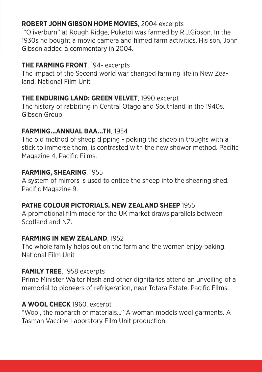# **ROBERT JOHN GIBSON HOME MOVIES**, 2004 excerpts

 "Oliverburn" at Rough Ridge, Puketoi was farmed by R.J.Gibson. In the 1930s he bought a movie camera and filmed farm activities. His son, John Gibson added a commentary in 2004.

# **THE FARMING FRONT**, 194- excerpts

The impact of the Second world war changed farming life in New Zealand. National Film Unit

# **THE ENDURING LAND: GREEN VELVET**, 1990 excerpt

The history of rabbiting in Central Otago and Southland in the 1940s. Gibson Group.

# **FARMING...ANNUAL BAA…TH**, 1954

The old method of sheep dipping - poking the sheep in troughs with a stick to immerse them, is contrasted with the new shower method. Pacific Magazine 4, Pacific Films.

# **FARMING, SHEARING**, 1955

A system of mirrors is used to entice the sheep into the shearing shed. Pacific Magazine 9.

# **PATHE COLOUR PICTORIALS. NEW ZEALAND SHEEP** 1955

A promotional film made for the UK market draws parallels between Scotland and NZ.

# **FARMING IN NEW ZEALAND**, 1952

The whole family helps out on the farm and the women enjoy baking. National Film Unit

# **FAMILY TREE**, 1958 excerpts

Prime Minister Walter Nash and other dignitaries attend an unveiling of a memorial to pioneers of refrigeration, near Totara Estate. Pacific Films.

# **A WOOL CHECK** 1960, excerpt

"Wool, the monarch of materials..." A woman models wool garments. A Tasman Vaccine Laboratory Film Unit production.